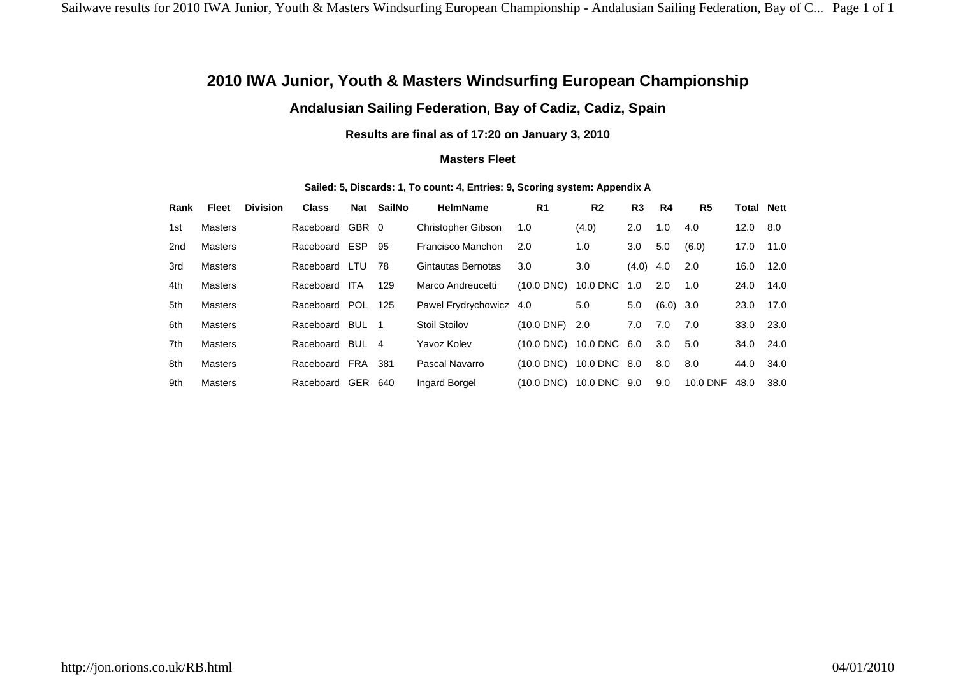## **2010 IWA Junior, Youth & Masters Windsurfing European Championship**

## **Andalusian Sailing Federation, Bay of Cadiz, Cadiz, Spain**

**Results are final as of 17:20 on January 3, 2010**

## **Masters Fleet**

| Rank | Fleet          | <b>Division</b> | <b>Class</b>      | Nat        | SailNo | <b>HelmName</b>           | R <sub>1</sub>  | R <sub>2</sub> | R <sub>3</sub>   | R4    | R <sub>5</sub> | <b>Total Nett</b> |      |
|------|----------------|-----------------|-------------------|------------|--------|---------------------------|-----------------|----------------|------------------|-------|----------------|-------------------|------|
| 1st  | Masters        |                 | Raceboard         | GBR 0      |        | <b>Christopher Gibson</b> | 1.0             | (4.0)          | 2.0              | 1.0   | 4.0            | 12.0              | 8.0  |
| 2nd  | Masters        |                 | Raceboard ESP 95  |            |        | Francisco Manchon         | 2.0             | 1.0            | 3.0 <sub>2</sub> | 5.0   | (6.0)          | 17.0              | 11.0 |
| 3rd  | Masters        |                 | Raceboard LTU     |            | 78     | Gintautas Bernotas        | 3.0             | 3.0            | (4.0)            | 4.0   | 2.0            | 16.0              | 12.0 |
| 4th  | Masters        |                 | Raceboard         | <b>ITA</b> | 129    | Marco Andreucetti         | $(10.0$ DNC)    | 10.0 DNC       | 1.0              | 2.0   | 1.0            | 24.0              | 14.0 |
| 5th  | Masters        |                 | Raceboard POL 125 |            |        | Pawel Frydrychowicz 4.0   |                 | 5.0            | 5.0              | (6.0) | 3.0            | 23.0              | 17.0 |
| 6th  | Masters        |                 | Raceboard BUL 1   |            |        | <b>Stoil Stoilov</b>      | $(10.0$ DNF)    | 2.0            | 7.0              | 7.0   | 7.0            | 33.0              | 23.0 |
| 7th  | Masters        |                 | Raceboard BUL 4   |            |        | Yavoz Kolev               | $(10.0$ DNC $)$ | 10.0 DNC 6.0   |                  | 3.0   | 5.0            | 34.0              | 24.0 |
| 8th  | Masters        |                 | Raceboard         | FRA        | 381    | Pascal Navarro            | $(10.0$ DNC)    | 10.0 DNC 8.0   |                  | 8.0   | 8.0            | 44.0              | 34.0 |
| 9th  | <b>Masters</b> |                 | Raceboard         | GER        | 640    | Ingard Borgel             | (10.0 DNC)      | 10.0 DNC 9.0   |                  | 9.0   | 10.0 DNF       | 48.0              | 38.0 |

**Sailed: 5, Discards: 1, To count: 4, Entries: 9, Scoring system: Appendix A**